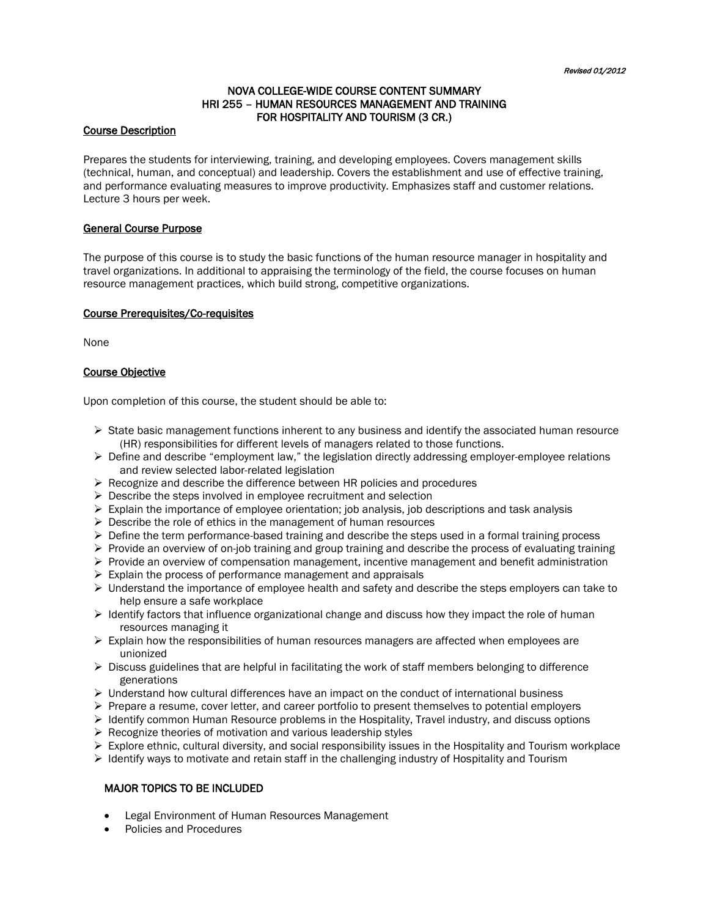# NOVA COLLEGE-WIDE COURSE CONTENT SUMMARY HRI 255 – HUMAN RESOURCES MANAGEMENT AND TRAINING FOR HOSPITALITY AND TOURISM (3 CR.)

#### Course Description

Prepares the students for interviewing, training, and developing employees. Covers management skills (technical, human, and conceptual) and leadership. Covers the establishment and use of effective training, and performance evaluating measures to improve productivity. Emphasizes staff and customer relations. Lecture 3 hours per week.

## General Course Purpose

The purpose of this course is to study the basic functions of the human resource manager in hospitality and travel organizations. In additional to appraising the terminology of the field, the course focuses on human resource management practices, which build strong, competitive organizations.

### Course Prerequisites/Co-requisites

None

## Course Objective

Upon completion of this course, the student should be able to:

- $\triangleright$  State basic management functions inherent to any business and identify the associated human resource (HR) responsibilities for different levels of managers related to those functions.
- $\triangleright$  Define and describe "employment law," the legislation directly addressing employer-employee relations and review selected labor-related legislation
- $\triangleright$  Recognize and describe the difference between HR policies and procedures
- $\triangleright$  Describe the steps involved in employee recruitment and selection
- $\triangleright$  Explain the importance of employee orientation; job analysis, job descriptions and task analysis
- $\triangleright$  Describe the role of ethics in the management of human resources
- $\triangleright$  Define the term performance-based training and describe the steps used in a formal training process
- $\triangleright$  Provide an overview of on-job training and group training and describe the process of evaluating training
- $\triangleright$  Provide an overview of compensation management, incentive management and benefit administration
- $\triangleright$  Explain the process of performance management and appraisals
- $\triangleright$  Understand the importance of employee health and safety and describe the steps employers can take to help ensure a safe workplace
- $\triangleright$  Identify factors that influence organizational change and discuss how they impact the role of human resources managing it
- $\triangleright$  Explain how the responsibilities of human resources managers are affected when employees are unionized
- $\triangleright$  Discuss guidelines that are helpful in facilitating the work of staff members belonging to difference generations
- $\triangleright$  Understand how cultural differences have an impact on the conduct of international business
- $\triangleright$  Prepare a resume, cover letter, and career portfolio to present themselves to potential employers
- $\triangleright$  Identify common Human Resource problems in the Hospitality, Travel industry, and discuss options
- $\triangleright$  Recognize theories of motivation and various leadership styles
- $\triangleright$  Explore ethnic, cultural diversity, and social responsibility issues in the Hospitality and Tourism workplace
- $\triangleright$  Identify ways to motivate and retain staff in the challenging industry of Hospitality and Tourism

## MAJOR TOPICS TO BE INCLUDED

- Legal Environment of Human Resources Management
- Policies and Procedures